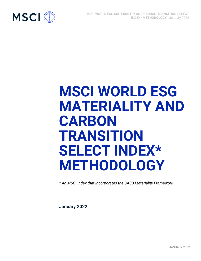

# **MSCI WORLD ESG MATERIALITY AND CARBON TRANSITION SELECT INDEX\* METHODOLOGY**

*\* An MSCI index that incorporates the SASB Materiality Framework*

**January 2022**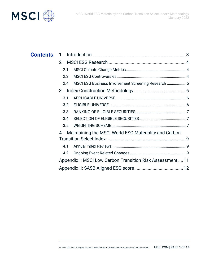

| <b>Contents</b> 1 |                                                            |  |
|-------------------|------------------------------------------------------------|--|
|                   | $\overline{2}$                                             |  |
|                   | 2.1                                                        |  |
|                   | 2.3                                                        |  |
|                   | MSCI ESG Business Involvement Screening Research 5<br>2.4  |  |
|                   | 3                                                          |  |
|                   | 3.1                                                        |  |
|                   | 3.2                                                        |  |
|                   | 3.3 <sup>°</sup>                                           |  |
|                   | 3.4                                                        |  |
|                   | 3.5                                                        |  |
|                   | Maintaining the MSCI World ESG Materiality and Carbon<br>4 |  |
|                   |                                                            |  |
|                   | 4.1                                                        |  |
|                   | 4.2                                                        |  |
|                   | Appendix I: MSCI Low Carbon Transition Risk Assessment  11 |  |
|                   |                                                            |  |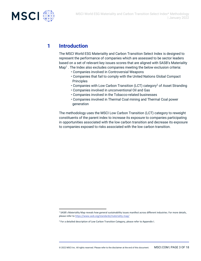

## **1 Introduction**

The MSCI World ESG Materiality and Carbon Transition Select Index is designed to represent the performance of companies which are assessed to be sector leaders based on a set of relevant key issues scores that are aligned with SASB's Materiality Map<sup>1</sup> . The Index also excludes companies meeting the below exclusion criteria:

- Companies involved in Controversial Weapons
- Companies that fail to comply with the United Nations Global Compact Principles
- Companies with Low Carbon Transition (LCT) category<sup>2</sup> of Asset Stranding
- Companies involved in unconventional Oil and Gas
- Companies involved in the Tobacco-related businesses
- Companies involved in Thermal Coal mining and Thermal Coal power generation

The methodology uses the MSCI Low Carbon Transition (LCT) category to reweight constituents of the parent index to increase its exposure to companies participating in opportunities associated with the low carbon transition and decrease its exposure to companies exposed to risks associated with the low carbon transition.

<sup>1</sup> SASB's Materiality Map reveals how general sustainability issues manifest across different industries. For more details, please refer t[o https://www.sasb.org/standards/materiality-map/](https://www.sasb.org/standards/materiality-map/)

<sup>&</sup>lt;sup>2</sup> For a detailed description of Low Carbon Transition Category, please refer to Appendix I.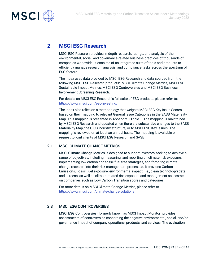

## **2 MSCI ESG Research**

MSCI ESG Research provides in-depth research, ratings, and analysis of the environmental, social, and governance-related business practices of thousands of companies worldwide. It consists of an integrated suite of tools and products to efficiently manage research, analysis, and compliance tasks across the spectrum of ESG factors.

The Index uses data provided by MSCI ESG Research and data sourced from the following MSCI ESG Research products: MSCI Climate Change Metrics, MSCI ESG Sustainable Impact Metrics, MSCI ESG Controversies and MSCI ESG Business Involvement Screening Research.

For details on MSCI ESG Research's full suite of ESG products, please refer to: [https://www.msci.com/esg-investing.](https://www.msci.com/esg-investing)

The Index also relies on a methodology that weights MSCI ESG Key Issue Scores based on their mapping to relevant General Issue Categories in the SASB Materiality Map. This mapping is presented in Appendix II Table 1. The mapping is maintained by MSCI ESG Research and updated when there are substantive changes to the SASB Materiality Map, the GICS industry structure, or to MSCI ESG Key Issues. The mapping is reviewed on at least an annual basis. The mapping is available on request to joint clients of MSCI ESG Research and SASB.

#### 2.1 MSCI CLIMATE CHANGE METRICS

MSCI Climate Change Metrics is designed to support investors seeking to achieve a range of objectives, including measuring, and reporting on climate risk exposure, implementing low carbon and fossil fuel-free strategies, and factoring climate change research into their risk management processes. It provides Carbon Emissions, Fossil Fuel exposure, environmental impact (i.e., clean technology) data and screens, as well as climate-related risk exposure and management assessment on companies such as Low Carbon Transition scores and categories.

For more details on MSCI Climate Change Metrics, please refer to [https://www.msci.com/climate-change-solutions.](https://www.msci.com/climate-change-solutions)

## 2.3 MSCI ESG CONTROVERSIES

MSCI ESG Controversies (formerly known as MSCI Impact Monitor) provides assessments of controversies concerning the negative environmental, social, and/or governance impact of company operations, products, and services. The evaluation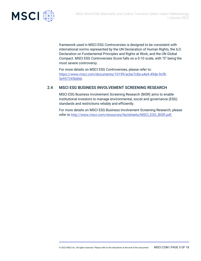

framework used in MSCI ESG Controversies is designed to be consistent with international norms represented by the UN Declaration of Human Rights, the ILO Declaration on Fundamental Principles and Rights at Work, and the UN Global Compact. MSCI ESG Controversies Score falls on a 0-10 scale, with "0" being the most severe controversy.

For more details on MSCI ESG Controversies, please refer to: [https://www.msci.com/documents/10199/acbe7c8a-a4e4-49de-9cf8-](https://www.msci.com/documents/10199/acbe7c8a-a4e4-49de-9cf8-5e957245b86b) [5e957245b86b](https://www.msci.com/documents/10199/acbe7c8a-a4e4-49de-9cf8-5e957245b86b)

## 2.4 MSCI ESG BUSINESS INVOLVEMENT SCREENING RESEARCH

MSCI ESG Business Involvement Screening Research (BISR) aims to enable institutional investors to manage environmental, social and governance (ESG) standards and restrictions reliably and efficiently.

For more details on MSCI ESG Business Involvement Screening Research, please refer to [http://www.msci.com/resources/factsheets/MSCI\\_ESG\\_BISR.pdf.](http://www.msci.com/resources/factsheets/MSCI_ESG_BISR.pdf)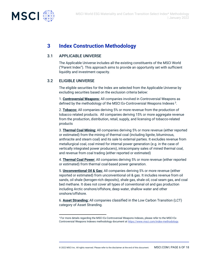

## **3 Index Construction Methodology**

#### 3.1 APPLICABLE UNIVERSE

The Applicable Universe includes all the existing constituents of the MSCI World ("Parent Index"). This approach aims to provide an opportunity set with sufficient liquidity and investment capacity.

#### 3.2 ELIGIBLE UNIVERSE

The eligible securities for the Index are selected from the Applicable Universe by excluding securities based on the exclusion criteria below:

1. **Controversial Weapons:** All companies involved in Controversial Weapons as defined by the methodology of the MSCI Ex-Controversial Weapons Indexes<sup>3</sup>.

2. **Tobacco:** All companies deriving 5% or more revenue from the production of tobacco related products. All companies deriving 15% or more aggregate revenue from the production, distribution, retail, supply, and licensing of tobacco-related products

3. **Thermal Coal Mining:** All companies deriving 5% or more revenue (either reported or estimated) from the mining of thermal coal (including lignite, bituminous, anthracite and steam coal) and its sale to external parties. It excludes revenue from metallurgical coal, coal mined for internal power generation (e.g. in the case of vertically integrated power producers), intracompany sales of mined thermal coal, and revenue from coal trading (either reported or estimated)

4. **Thermal Coal Power:** All companies deriving 5% or more revenue (either reported or estimated) from thermal coal-based power generation.

5. **Unconventional Oil & Gas:** All companies deriving 5% or more revenue (either reported or estimated) from unconventional oil & gas. It includes revenue from oil sands, oil shale (kerogen-rich deposits), shale gas, shale oil, coal seam gas, and coal bed methane. It does not cover all types of conventional oil and gas production including Arctic onshore/offshore, deep water, shallow water and other onshore/offshore.

6. **Asset Stranding:** All companies classified in the Low Carbon Transition (LCT) category of Asset Stranding.

<sup>&</sup>lt;sup>3</sup> For more details regarding the MSCI Ex-Controversial Weapons Indexes, please refer to the MSCI Ex-Controversial Weapons Indexes methodology document a[t https://www.msci.com/index-methodology.](https://www.msci.com/index-methodology)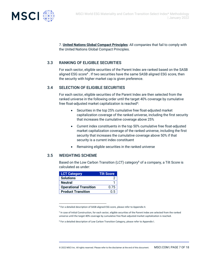

7. **United Nations Global Compact Principles**: All companies that fail to comply with the United Nations Global Compact Principles.

#### 3.3 RANKING OF ELIGIBLE SECURITIES

For each sector, eligible securities of the Parent Index are ranked based on the SASB aligned ESG score<sup>4</sup> . If two securities have the same SASB aligned ESG score, then the security with higher market cap is given preference.

#### 3.4 SELECTION OF ELIGIBLE SECURITIES

For each sector, eligible securities of the Parent Index are then selected from the ranked universe in the following order until the target 40% coverage by cumulative free float-adjusted market capitalization is reached $5$ :

- Securities in the top 25% cumulative free float-adjusted market capitalization coverage of the ranked universe, including the first security that increases the cumulative coverage above 25%
- Current index constituents in the top 50% cumulative free float-adjusted market capitalization coverage of the ranked universe, including the first security that increases the cumulative coverage above 50% if that security is a current index constituent
- Remaining eligible securities in the ranked universe

## 3.5 WEIGHTING SCHEME

Based on the Low Carbon Transition (LCT) category<sup>6</sup> of a company, a Tilt Score is calculated as under:

| <b>LCT Category</b>           | <b>Tilt Score</b> |
|-------------------------------|-------------------|
| <b>Solutions</b>              |                   |
| <b>Neutral</b>                |                   |
| <b>Operational Transition</b> | 0.75              |
| <b>Product Transition</b>     | ი 5               |

<sup>4</sup> For a detailed description of SASB aligned ESG score, please refer to Appendix II.

<sup>&</sup>lt;sup>5</sup> In case of Initial Construction, for each sector, eligible securities of the Parent Index are selected from the ranked universe until the target 40% coverage by cumulative free float-adjusted market capitalization is reached.

<sup>&</sup>lt;sup>6</sup> For a detailed description of Low Carbon Transition Category, please refer to Appendix I.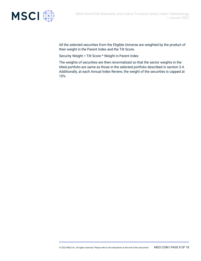



All the selected securities from the Eligible Universe are weighted by the product of their weight in the Parent Index and the Tilt Score.

| January 2022

Security Weight = Tilt Score \* Weight in Parent Index

The weights of securities are then renormalized so that the sector weights in the tilted portfolio are same as those in the selected portfolio described in section 3.4. Additionally, at each Annual Index Review, the weight of the securities is capped at 10%.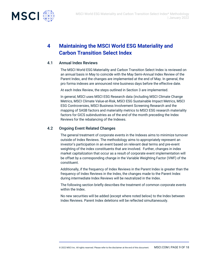



# **4 Maintaining the MSCI World ESG Materiality and Carbon Transition Select Index**

#### 4.1 Annual Index Reviews

The MSCI World ESG Materiality and Carbon Transition Select Index is reviewed on an annual basis in May to coincide with the May Semi-Annual Index Review of the Parent Index, and the changes are implemented at the end of May. In general, the pro forma indexes are announced nine business days before the effective date.

At each Index Review, the steps outlined in Section 3 are implemented.

In general, MSCI uses MSCI ESG Research data (including MSCI Climate Change Metrics, MSCI Climate Value-at-Risk, MSCI ESG Sustainable Impact Metrics, MSCI ESG Controversies, MSCI Business Involvement Screening Research and the mapping of SASB factors and materiality metrics to MSCI ESG research materiality factors for GICS subindustries as of the end of the month preceding the Index Reviews for the rebalancing of the Indexes.

#### 4.2 Ongoing Event Related Changes

The general treatment of corporate events in the Indexes aims to minimize turnover outside of Index Reviews. The methodology aims to appropriately represent an investor's participation in an event based on relevant deal terms and pre-event weighting of the index constituents that are involved. Further, changes in index market capitalization that occur as a result of corporate event implementation will be offset by a corresponding change in the Variable Weighting Factor (VWF) of the constituent.

Additionally, if the frequency of Index Reviews in the Parent Index is greater than the frequency of Index Reviews in the Index, the changes made to the Parent Index during intermediate Index Reviews will be neutralized in the Index.

The following section briefly describes the treatment of common corporate events within the Index.

No new securities will be added (except where noted below) to the Index between Index Reviews. Parent Index deletions will be reflected simultaneously.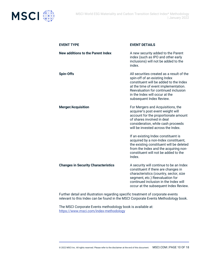

| <b>EVENT TYPE</b>                          | <b>EVENT DETAILS</b>                                                                                                                                                                                                                                               |
|--------------------------------------------|--------------------------------------------------------------------------------------------------------------------------------------------------------------------------------------------------------------------------------------------------------------------|
| <b>New additions to the Parent Index</b>   | A new security added to the Parent<br>index (such as IPO and other early<br>inclusions) will not be added to the<br>index.                                                                                                                                         |
| <b>Spin-Offs</b>                           | All securities created as a result of the<br>spin-off of an existing Index<br>constituent will be added to the Index<br>at the time of event implementation.<br>Reevaluation for continued inclusion<br>in the Index will occur at the<br>subsequent Index Review. |
| <b>Merger/Acquisition</b>                  | For Mergers and Acquisitions, the<br>acquirer's post event weight will<br>account for the proportionate amount<br>of shares involved in deal<br>consideration, while cash proceeds<br>will be invested across the Index.                                           |
|                                            | If an existing Index constituent is<br>acquired by a non-Index constituent,<br>the existing constituent will be deleted<br>from the Index and the acquiring non-<br>constituent will not be added to the<br>Index.                                                 |
| <b>Changes in Security Characteristics</b> | A security will continue to be an Index<br>constituent if there are changes in<br>characteristics (country, sector, size<br>segment, etc.) Reevaluation for<br>continued inclusion in the Index will<br>occur at the subsequent Index Review.                      |

Further detail and illustration regarding specific treatment of corporate events relevant to this Index can be found in the MSCI Corporate Events Methodology book.

The MSCI Corporate Events methodology book is available at: <https://www.msci.com/index-methodology>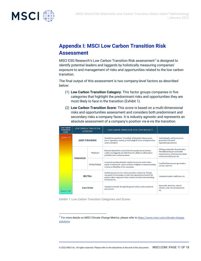

## **Appendix I: MSCI Low Carbon Transition Risk Assessment**

MSCI ESG Research's Low Carbon Transition Risk assessment<sup>7</sup> is designed to identify potential leaders and laggards by holistically measuring companies' exposure to and management of risks and opportunities related to the low carbon transition.

The final output of this assessment is two company-level factors as described below:

- (1) **Low Carbon Transition Category**: This factor groups companies in five categories that highlight the predominant risks and opportunities they are most likely to face in the transition (Exhibit 1).
- (2) **Low Carbon Transition Score:** This score is based on a multi-dimensional risks and opportunities assessment and considers both predominant and secondary risks a company faces. It is industry agnostic and represents an absolute assessment of a company's position vis-à-vis the transition.

| <b>LOW CARBON</b><br><b>TRANSITION</b><br><b>SCORE</b> | <b>LOW CARBON TRANSITION</b><br><b>CATEGORY</b> |                                                                                                                                                                               | LOW CARBON TRANSITION RISK / OPPORTUNITY                                                                                                                                                                                   |                                                                                                                                           |
|--------------------------------------------------------|-------------------------------------------------|-------------------------------------------------------------------------------------------------------------------------------------------------------------------------------|----------------------------------------------------------------------------------------------------------------------------------------------------------------------------------------------------------------------------|-------------------------------------------------------------------------------------------------------------------------------------------|
| $Score = 0$                                            | <b>ASSET STRANDING</b>                          |                                                                                                                                                                               | Potential to experience "stranding" of physical / natural assets<br>due to regulatory, market, or technological forces arising from low<br>carbon transition.                                                              | Coal mining & coal based power<br>generation; Oil sands<br>exploration/production                                                         |
|                                                        | <b>PRODUCT</b><br><b>TRANSITION</b>             |                                                                                                                                                                               | Reduced demand for carbon-intensive products and services.<br>Leaders and laggards are defined by the ability to shift product<br>portfolio to low-carbon products.                                                        | Oil & gas exploration & production;<br>Petrol/diesel based automobile<br>manufacturers, thermal power plant<br>turbine manufacturers etc. |
|                                                        | OPERATIONAL                                     | Increased operational and/or capital cost due to carbon taxes<br>and/or investment in carbon emission mitigation measures leading<br>to lower profitability of the companies. | Fossil fuel based power generation,<br>cement, steel etc.                                                                                                                                                                  |                                                                                                                                           |
|                                                        | <b>NEUTRAL</b>                                  |                                                                                                                                                                               | Limited exposure to low carbon transition carbon risk. Though<br>companies in this category could have exposure to physical risk<br>and/or indirect exposure to low carbon transition risk via lending,<br>investment etc. | Consumer staples, healthcare, etc.                                                                                                        |
| Score = $10$                                           |                                                 | <b>SOLUTIONS</b>                                                                                                                                                              | Potential to benefit through the growth of low-carbon products<br>and services.                                                                                                                                            | Renewable electricity, electric<br>vehicles, solar cell manufacturers<br>etc.                                                             |

*Exhibit 1: Low Carbon Transition Categories and Scores*

<sup>&</sup>lt;sup>7</sup> For more details on MSCI Climate Change Metrics, please refer to <u>https://www.msci.com/climate-change-</u> [solutions](https://www.msci.com/climate-change-solutions)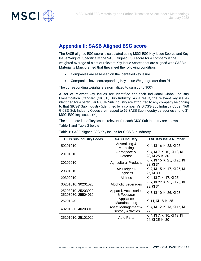

## **Appendix II: SASB Aligned ESG score**

The SASB aligned ESG score is calculated using MSCI ESG Key Issue Scores and Key Issue Weights. Specifically, the SASB aligned ESG score for a company is the weighted average of a set of relevant Key Issue Scores that are aligned with SASB's Materiality Map, granted that they meet the following condition:

- Companies are assessed on the identified key issue.
- Companies have corresponding Key Issue Weight greater than 0%.

The corresponding weights are normalized to sum up to 100%.

A set of relevant key issues are identified for each individual Global Industry Classification Standard (GICS®) Sub Industry. As a result, the relevant key issues identified for a particular GICS® Sub Industry are attributed to any company belonging to that GICS® Sub Industry (identified by a company's GICS® Sub Industry Code). 160 GICS® Sub Industry Codes are mapped to 69 SASB Sub Industry categories and to 31 MSCI ESG key issues (KI).

The complete list of key issues relevant for each GICS Sub Industry are shown in Table 1 and Table 2 below

| <b>GICS Sub Industry Codes</b>            | <b>SASB Industry</b>                            | <b>ESG Key Issue Number</b>                      |
|-------------------------------------------|-------------------------------------------------|--------------------------------------------------|
| 50201010                                  | Advertising &<br>Marketing                      | KI 4, KI 16, KI 23, KI 25                        |
| 20101010                                  | Aerospace &<br>Defense                          | KI 4, KI 7, KI 10, KI 18, KI<br>23, KI 25, KI 30 |
| 30202010                                  | <b>Agricultural Products</b>                    | KI 7, KI 15, KI 25, KI 26, KI<br>28, KI 31       |
| 20301010                                  | Air Freight &<br>Logistics                      | KI 7, KI 15, KI 17, KI 25, KI<br>26, KI 30       |
| 20302010                                  | Airlines                                        | KI 4, KI 7, KI 17, KI 25                         |
| 30201010, 30201020                        | Alcoholic Beverages                             | KI 7, KI 22, KI 25, KI 26, KI<br>28, KI 31       |
| 25203010, 25203020,<br>25203030, 25504010 | Apparel, Accessories<br>& Footwear              | KI 8, KI 10, KI 26, KI 28                        |
| 25201040                                  | Appliance<br>Manufacturing                      | KI 11, KI 18, KI 25                              |
| 40201030, 40203010                        | Asset Management &<br><b>Custody Activities</b> | KI 4, KI 12, KI 13, KI 16, KI<br>27              |
| 25101010, 25101020                        | Auto Parts                                      | KI 4, KI 7, KI 10, KI 18, KI<br>24, KI 25, KI 30 |

Table 1: SASB aligned ESG Key Issues for GICS Sub-industry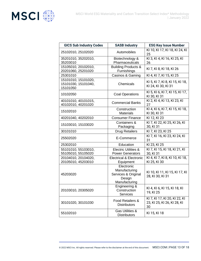

| <b>GICS Sub Industry Codes</b>                         | <b>SASB Industry</b>                                                          | <b>ESG Key Issue Number</b>                                        |
|--------------------------------------------------------|-------------------------------------------------------------------------------|--------------------------------------------------------------------|
| 25102010, 25102020                                     | Automobiles                                                                   | KI 10, KI 17, KI 18, KI 24, KI<br>25                               |
| 35201010, 35202010,<br>35203010                        | Biotechnology &<br>Pharmaceuticals                                            | KI 3, KI 4, KI 16, KI 25, KI<br>26                                 |
| 15105010, 20102010,<br>20201060, 25201020              | <b>Building Products &amp;</b><br>Furnishings                                 | KI 7, KI 8, KI 18, KI 26                                           |
| 25301010                                               | Casinos & Gaming                                                              | KI 4, KI 7, KI 15, KI 25                                           |
| 15101010, 15101020,<br>15101030, 15101040,<br>15101050 | Chemicals                                                                     | KI 5, KI 7, KI 8, KI 15, KI 18,<br>KI 24, KI 30, KI 31             |
| 10102050                                               | <b>Coal Operations</b>                                                        | KI 5, KI 6, KI 7, KI 15, KI 17,<br>KI 30, KI 31                    |
| 40101010, 40101015,<br>40102010, 40201020              | <b>Commercial Banks</b>                                                       | KI 2, KI 4, KI 13, KI 23, KI<br>27                                 |
| 15102010                                               | Construction<br><b>Materials</b>                                              | KI 4, KI 6, KI 7, KI 15, KI 18,<br>KI 30, KI 31                    |
| 40201040, 40202010                                     | <b>Consumer Finance</b>                                                       | KI 12, KI 23                                                       |
| 15103010, 15103020                                     | Containers &<br>Packaging                                                     | KI 7, KI 22, KI 25, KI 26, KI<br>30, KI 31                         |
| 30101010                                               | <b>Drug Retailers</b>                                                         | KI 7, KI 23, KI 25                                                 |
| 25502020                                               | E-Commerce                                                                    | KI 7, KI 16, KI 23, KI 24, KI<br>31                                |
| 25302010                                               | Education                                                                     | KI 23, KI 25                                                       |
| 55101010, 55103010,<br>55105010, 55105020              | <b>Electric Utilities &amp;</b><br><b>Power Generators</b>                    | KI 7, KI 15, KI 18, KI 21, KI<br>30, KI 31                         |
| 20104010, 20104020,<br>20105010, 45203010              | <b>Electrical &amp; Electronic</b><br>Equipment                               | KI 4, KI 7, KI 8, KI 10, KI 18,<br>KI 25, KI 30                    |
| 45203020                                               | Electronic<br>Manufacturing<br>Services & Original<br>Design<br>Manufacturing | KI 10, KI 11, KI 15, KI 17, KI<br>28, KI 30, KI 31                 |
| 20103010, 20305020                                     | Engineering &<br>Construction<br><b>Services</b>                              | KI 4, KI 6, KI 15, KI 18, KI<br>19, KI 25                          |
| 30101020, 30101030                                     | Food Retailers &<br><b>Distributors</b>                                       | KI 7, KI 17, KI 20, KI 22, KI<br>23, KI 25, KI 26, KI 28, KI<br>30 |
| 55102010                                               | <b>Gas Utilities &amp;</b><br><b>Distributors</b>                             | KI 15, KI 18                                                       |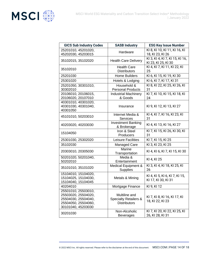

| <b>GICS Sub Industry Codes</b>                                                                                 | <b>SASB Industry</b>                                                     | <b>ESG Key Issue Number</b>                            |
|----------------------------------------------------------------------------------------------------------------|--------------------------------------------------------------------------|--------------------------------------------------------|
| 25201010, 45201020,<br>45202030, 45203015                                                                      | Hardware                                                                 | KI 8, KI 10, KI 11, KI 16, KI<br>18, KI 23, KI 26      |
| 35102015, 35102020                                                                                             | <b>Health Care Delivery</b>                                              | KI 3, KI 4, KI 7, KI 15, KI 16,<br>KI 23, KI 25, KI 30 |
| 35102010                                                                                                       | <b>Health Care</b><br><b>Distributors</b>                                | KI 4, KI 7, KI 11, KI 22, KI<br>25                     |
| 25201030                                                                                                       | Home Builders                                                            | KI 6, KI 15, KI 19, KI 30                              |
| 25301020                                                                                                       | Hotels & Lodging                                                         | KI 6, KI 7, KI 17, KI 31                               |
| 25201050, 30301010,<br>30302010                                                                                | Household &<br><b>Personal Products</b>                                  | KI 8, KI 22, KI 25, KI 26, KI<br>31                    |
| 20106010, 20106015,<br>20106020, 20107010                                                                      | <b>Industrial Machinery</b><br>& Goods                                   | KI 7, KI 10, KI 15, KI 18, KI<br>24                    |
| 40301010, 40301020,<br>40301030, 40301040,<br>40301050                                                         | Insurance                                                                | KI 9, KI 12, KI 13, KI 27                              |
| 45101010, 50203010                                                                                             | Internet Media &<br><b>Services</b>                                      | KI 4, KI 7, KI 16, KI 23, KI<br>31                     |
| 40203020, 40203030                                                                                             | <b>Investment Banking</b><br>& Brokerage                                 | KI 4, KI 13, KI 16, KI 27                              |
| 15104050                                                                                                       | Iron & Steel<br>Producers                                                | KI 7, KI 15, KI 26, KI 30, KI<br>31                    |
| 25301030, 25302020                                                                                             | Leisure Facilities                                                       | KI 7, KI 15, KI 25                                     |
| 35102030                                                                                                       | <b>Managed Care</b>                                                      | KI 3, KI 23, KI 25                                     |
| 20303010, 20305030                                                                                             | Marine<br>Transportation                                                 | KI 4, KI 6, KI 7, KI 15, KI 30                         |
| 50201020, 50201040,<br>50202010                                                                                | Media &<br>Entertainment                                                 | KI 4, KI 25                                            |
| 35101010, 35101020                                                                                             | Medical Equipment &<br><b>Supplies</b>                                   | KI 3, KI 4, KI 18, KI 25, KI<br>26                     |
| 15104010, 15104020,<br>15104025, 15104030,<br>15104040, 15104045                                               | Metals & Mining                                                          | KI 4, KI 5, KI 6, KI 7, KI 15,<br>KI 17, KI 30, KI 31  |
| 40204010                                                                                                       | Mortgage Finance                                                         | KI 9, KI 12                                            |
| 25501010, 25503010,<br>25503020, 25504020,<br>25504030, 25504040,<br>25504050, 25504060,<br>30101040, 45203030 | Multiline and<br><b>Specialty Retailers &amp;</b><br><b>Distributors</b> | KI 7, KI 8, KI 16, KI 17, KI<br>18, KI 22, KI 23       |
| 30201030                                                                                                       | Non-Alcoholic<br><b>Beverages</b>                                        | KI 7, KI 20, KI 22, KI 25, KI<br>26, KI 28, KI 31      |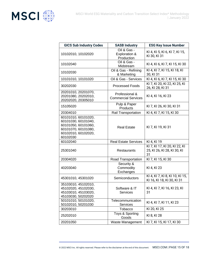

| <b>GICS Sub Industry Codes</b>                                                                                              | <b>SASB Industry</b>                         | <b>ESG Key Issue Number</b>                                        |
|-----------------------------------------------------------------------------------------------------------------------------|----------------------------------------------|--------------------------------------------------------------------|
| 10102010, 10102020                                                                                                          | Oil & Gas -<br>Exploration &<br>Production   | KI 4, KI 5, KI 6, KI 7, KI 15,<br>KI 30, KI 31                     |
| 10102040                                                                                                                    | Oil & Gas -<br>Midstream                     | KI 4, KI 6, KI 7, KI 15, KI 30                                     |
| 10102030                                                                                                                    | Oil & Gas - Refining<br>& Marketing          | KI 4, KI 7, KI 15, KI 18, KI<br>30, KI 31                          |
| 10101010, 10101020                                                                                                          | Oil & Gas - Services                         | KI 4, KI 6, KI 7, KI 15, KI 30                                     |
| 30202030                                                                                                                    | <b>Processed Foods</b>                       | KI 7, KI 20, KI 22, KI 25, KI<br>26, KI 28, KI 31                  |
| 20201010, 20201070,<br>20201080, 20202010,<br>20202020, 20305010                                                            | Professional &<br><b>Commercial Services</b> | KI 4, KI 16, KI 23                                                 |
| 15105020                                                                                                                    | Pulp & Paper<br>Products                     | KI 7, KI 26, KI 30, KI 31                                          |
| 20304010                                                                                                                    | Rail Transportation                          | KI 4, KI 7, KI 15, KI 30                                           |
| 60101010, 60101020,<br>60101030, 60101040,<br>60101050, 60101060,<br>60101070, 60101080,<br>60102010, 60102020,<br>60102030 | <b>Real Estate</b>                           | KI 7, KI 19, KI 31                                                 |
| 60102040                                                                                                                    | <b>Real Estate Services</b>                  | KI 4, KI 19                                                        |
| 25301040                                                                                                                    | <b>Restaurants</b>                           | KI 7, KI 17, KI 20, KI 22, KI<br>25, KI 26, KI 28, KI 30, KI<br>31 |
| 20304020                                                                                                                    | Road Transportation                          | KI 7, KI 15, KI 30                                                 |
| 40203040                                                                                                                    | Security &<br>Commodity<br>Exchanges         | KI 4, KI 23                                                        |
| 45301010, 45301020                                                                                                          | <b>Semiconductors</b>                        | KI 4, KI 7, KI 8, KI 10, KI 15,<br>KI 16, KI 18, KI 30, KI 31      |
| 35103010, 45102010,<br>45102020, 45102030,<br>45103010, 45103020,<br>45103030, 50202020                                     | Software & IT<br><b>Services</b>             | KI 4, KI 7, KI 16, KI 23, KI<br>31                                 |
| 50101010, 50101020,<br>50102010, 50201030                                                                                   | Telecommunication<br><b>Services</b>         | KI 4, KI 7, KI 11, KI 23                                           |
| 30203010                                                                                                                    | Tobacco                                      | KI 20, KI 25                                                       |
| 25202010                                                                                                                    | Toys & Sporting<br>Goods                     | KI 8, KI 28                                                        |
| 20201050                                                                                                                    | Waste Management                             | KI 7, KI 15, KI 17, KI 30                                          |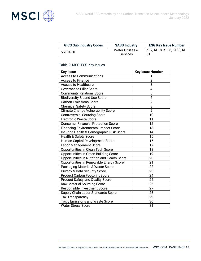

| <b>GICS Sub Industry Codes</b> | <b>SASB Industry</b>                 | <b>ESG Key Issue Number</b>   |
|--------------------------------|--------------------------------------|-------------------------------|
| 55104010                       | Water Utilities &<br><b>Services</b> | KI 7, KI 18, KI 25, KI 30, KI |

#### Table 2: MSCI ESG Key Issues

| <b>Key Issue</b>                            | <b>Key Issue Number</b> |
|---------------------------------------------|-------------------------|
| <b>Access to Communications</b>             |                         |
| <b>Access to Finance</b>                    | $\overline{2}$          |
| <b>Access to Healthcare</b>                 | $\overline{3}$          |
| <b>Governance Pillar Score</b>              | $\overline{4}$          |
| <b>Community Relations Score</b>            | 5                       |
| <b>Biodiversity &amp; Land Use Score</b>    | 6                       |
| <b>Carbon Emissions Score</b>               | 7                       |
| <b>Chemical Safety Score</b>                | 8                       |
| <b>Climate Change Vulnerability Score</b>   | 9                       |
| <b>Controversial Sourcing Score</b>         | 10                      |
| <b>Electronic Waste Score</b>               | 11                      |
| <b>Consumer Financial Protection Score</b>  | 12                      |
| <b>Financing Environmental Impact Score</b> | 13                      |
| Insuring Health & Demographic Risk Score    | 14                      |
| Health & Safety Score                       | 15                      |
| Human Capital Development Score             | 16                      |
| <b>Labor Management Score</b>               | 17                      |
| Opportunities in Clean Tech Score           | 18                      |
| Opportunities in Green Building Score       | 19                      |
| Opportunities in Nutrition and Health Score | 20                      |
| Opportunities in Renewable Energy Score     | 21                      |
| Packaging Material & Waste Score            | 22                      |
| <b>Privacy &amp; Data Security Score</b>    | 23                      |
| <b>Product Carbon Footprint Score</b>       | 24                      |
| <b>Product Safety and Quality Score</b>     | $\overline{25}$         |
| <b>Raw Material Sourcing Score</b>          | 26                      |
| Responsible Investment Score                | 27                      |
| Supply Chain Labor Standards Score          | 28                      |
| <b>Tax Transparency</b>                     | 29                      |
| <b>Toxic Emissions and Waste Score</b>      | 30                      |
| <b>Water Stress Score</b>                   | 31                      |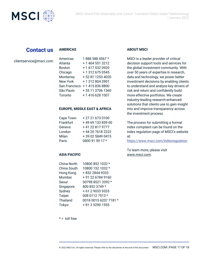

## **Contact us**

#### **AMERICAS**

clientservice@msci.com

| Americas        | 1888 588 4567 *  |
|-----------------|------------------|
| Atlanta         | + 1 404 551 3212 |
| <b>Boston</b>   | +1 617 532 0920  |
| Chicago         | + 1 312 675 0545 |
| Monterrey       | +52 81 1253 4020 |
| <b>New York</b> | +12128043901     |
| San Francisco   | +14158368800     |
| São Paulo       | +55 11 3706 1360 |
| Toronto         | +14166281007     |

#### **EUROPE, MIDDLE EAST & AFRICA**

| Cape Town | +27 21 673 0100   |
|-----------|-------------------|
| Frankfurt | +49 69 133 859 00 |
| Geneva    | +41 22 817 9777   |
| London    | +44 20 7618 2222  |
| Milan     | +39 02 5849 0415  |
| Paris     | 0800 91 59 17 *   |

#### **ASIA PACIFIC**

| China North     | 10800 852 1032 *      |
|-----------------|-----------------------|
| China South     | 10800 152 1032 *      |
| Hong Kong       | +852 2844 9333        |
| Mumbai          | +91 22 6784 9160      |
| Seoul           | 00798 8521 3392 *     |
| Singapore       | 800 852 3749 *        |
| Sydney          | +61290339333          |
| Taipei          | 008 0112 7513 *       |
| <b>Thailand</b> | 0018 0015 6207 7181 * |
| Tokyo           | + 81 3 5290 1555      |
|                 |                       |

#### **ABOUT MSCI**

MSCI is a leader provider of critical decision support tools and services for the global investment community. With over 50 years of expertise in research, data and technology, we power better investment decisions by enabling clients to understand and analyze key drivers of risk and return and confidently build more effective portfolios. We create industry-leading research-enhanced solutions that clients use to gain insight into and improve transparency across the investment process.

The process for submitting a formal index complaint can be found on the index regulation page of MSCI's website at:

<https://www.msci.com/indexregulation>

To learn more, please visit [www.msci.com.](https://www.msci.com/)

 $* =$  toll free